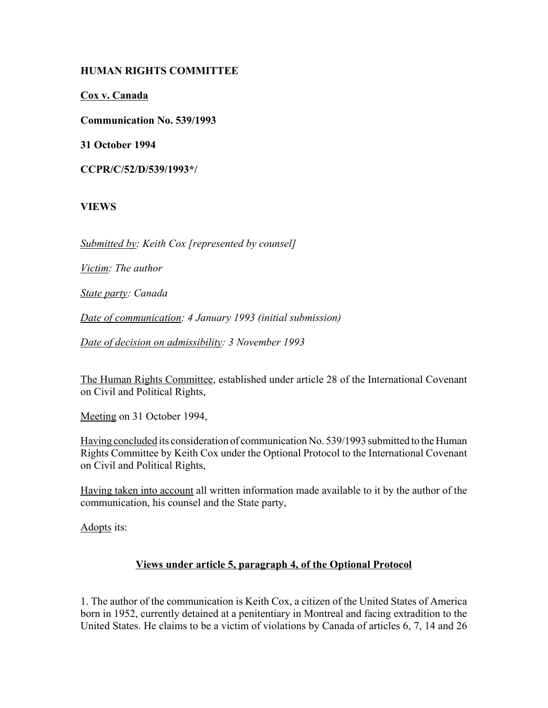# **HUMAN RIGHTS COMMITTEE**

**Cox v. Canada**

**Communication No. 539/1993**

**31 October 1994**

**CCPR/C/52/D/539/1993\*/**

## **VIEWS**

*Submitted by: Keith Cox [represented by counsel]*

*Victim: The author*

*State party: Canada*

*Date of communication: 4 January 1993 (initial submission)*

*Date of decision on admissibility: 3 November 1993*

The Human Rights Committee, established under article 28 of the International Covenant on Civil and Political Rights,

Meeting on 31 October 1994,

Having concluded its consideration of communication No. 539/1993 submitted to the Human Rights Committee by Keith Cox under the Optional Protocol to the International Covenant on Civil and Political Rights,

Having taken into account all written information made available to it by the author of the communication, his counsel and the State party,

Adopts its:

### **Views under article 5, paragraph 4, of the Optional Protocol**

1. The author of the communication is Keith Cox, a citizen of the United States of America born in 1952, currently detained at a penitentiary in Montreal and facing extradition to the United States. He claims to be a victim of violations by Canada of articles 6, 7, 14 and 26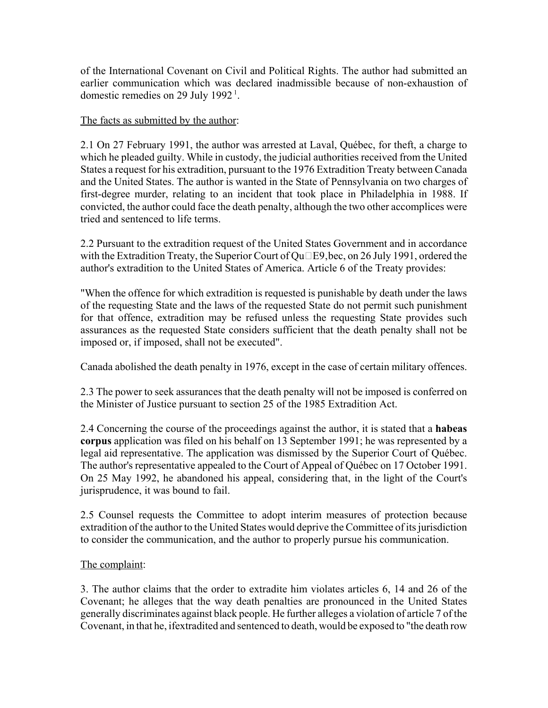of the International Covenant on Civil and Political Rights. The author had submitted an earlier communication which was declared inadmissible because of non-exhaustion of domestic remedies on 29 July 1992 1.

### The facts as submitted by the author:

2.1 On 27 February 1991, the author was arrested at Laval, Québec, for theft, a charge to which he pleaded guilty. While in custody, the judicial authorities received from the United States a request for his extradition, pursuant to the 1976 Extradition Treaty between Canada and the United States. The author is wanted in the State of Pennsylvania on two charges of first-degree murder, relating to an incident that took place in Philadelphia in 1988. If convicted, the author could face the death penalty, although the two other accomplices were tried and sentenced to life terms.

2.2 Pursuant to the extradition request of the United States Government and in accordance with the Extradition Treaty, the Superior Court of Qu  $E9$ , bec, on 26 July 1991, ordered the author's extradition to the United States of America. Article 6 of the Treaty provides:

"When the offence for which extradition is requested is punishable by death under the laws of the requesting State and the laws of the requested State do not permit such punishment for that offence, extradition may be refused unless the requesting State provides such assurances as the requested State considers sufficient that the death penalty shall not be imposed or, if imposed, shall not be executed".

Canada abolished the death penalty in 1976, except in the case of certain military offences.

2.3 The power to seek assurances that the death penalty will not be imposed is conferred on the Minister of Justice pursuant to section 25 of the 1985 Extradition Act.

2.4 Concerning the course of the proceedings against the author, it is stated that a **habeas corpus** application was filed on his behalf on 13 September 1991; he was represented by a legal aid representative. The application was dismissed by the Superior Court of Ouébec. The author's representative appealed to the Court of Appeal of Québec on 17 October 1991. On 25 May 1992, he abandoned his appeal, considering that, in the light of the Court's jurisprudence, it was bound to fail.

2.5 Counsel requests the Committee to adopt interim measures of protection because extradition of the author to the United States would deprive the Committee of its jurisdiction to consider the communication, and the author to properly pursue his communication.

# The complaint:

3. The author claims that the order to extradite him violates articles 6, 14 and 26 of the Covenant; he alleges that the way death penalties are pronounced in the United States generally discriminates against black people. He further alleges a violation of article 7 of the Covenant, in that he, ifextradited and sentenced to death, would be exposed to "the death row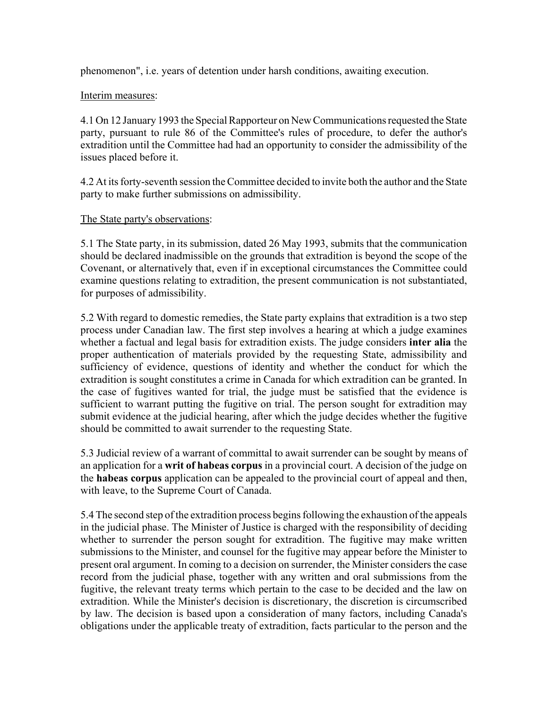phenomenon", i.e. years of detention under harsh conditions, awaiting execution.

#### Interim measures:

4.1 On 12 January 1993 the Special Rapporteur on New Communications requested the State party, pursuant to rule 86 of the Committee's rules of procedure, to defer the author's extradition until the Committee had had an opportunity to consider the admissibility of the issues placed before it.

4.2 At its forty-seventh session the Committee decided to invite both the author and the State party to make further submissions on admissibility.

## The State party's observations:

5.1 The State party, in its submission, dated 26 May 1993, submits that the communication should be declared inadmissible on the grounds that extradition is beyond the scope of the Covenant, or alternatively that, even if in exceptional circumstances the Committee could examine questions relating to extradition, the present communication is not substantiated, for purposes of admissibility.

5.2 With regard to domestic remedies, the State party explains that extradition is a two step process under Canadian law. The first step involves a hearing at which a judge examines whether a factual and legal basis for extradition exists. The judge considers **inter alia** the proper authentication of materials provided by the requesting State, admissibility and sufficiency of evidence, questions of identity and whether the conduct for which the extradition is sought constitutes a crime in Canada for which extradition can be granted. In the case of fugitives wanted for trial, the judge must be satisfied that the evidence is sufficient to warrant putting the fugitive on trial. The person sought for extradition may submit evidence at the judicial hearing, after which the judge decides whether the fugitive should be committed to await surrender to the requesting State.

5.3 Judicial review of a warrant of committal to await surrender can be sought by means of an application for a **writ of habeas corpus** in a provincial court. A decision of the judge on the **habeas corpus** application can be appealed to the provincial court of appeal and then, with leave, to the Supreme Court of Canada.

5.4 The second step of the extradition process begins following the exhaustion of the appeals in the judicial phase. The Minister of Justice is charged with the responsibility of deciding whether to surrender the person sought for extradition. The fugitive may make written submissions to the Minister, and counsel for the fugitive may appear before the Minister to present oral argument. In coming to a decision on surrender, the Minister considers the case record from the judicial phase, together with any written and oral submissions from the fugitive, the relevant treaty terms which pertain to the case to be decided and the law on extradition. While the Minister's decision is discretionary, the discretion is circumscribed by law. The decision is based upon a consideration of many factors, including Canada's obligations under the applicable treaty of extradition, facts particular to the person and the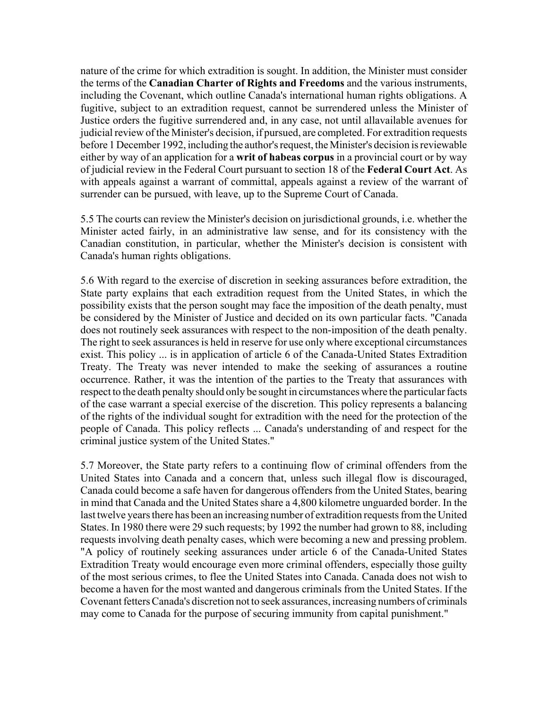nature of the crime for which extradition is sought. In addition, the Minister must consider the terms of the **Canadian Charter of Rights and Freedoms** and the various instruments, including the Covenant, which outline Canada's international human rights obligations. A fugitive, subject to an extradition request, cannot be surrendered unless the Minister of Justice orders the fugitive surrendered and, in any case, not until allavailable avenues for judicial review of the Minister's decision, if pursued, are completed. For extradition requests before 1 December 1992, including the author's request, the Minister's decision is reviewable either by way of an application for a **writ of habeas corpus** in a provincial court or by way of judicial review in the Federal Court pursuant to section 18 of the **Federal Court Act**. As with appeals against a warrant of committal, appeals against a review of the warrant of surrender can be pursued, with leave, up to the Supreme Court of Canada.

5.5 The courts can review the Minister's decision on jurisdictional grounds, i.e. whether the Minister acted fairly, in an administrative law sense, and for its consistency with the Canadian constitution, in particular, whether the Minister's decision is consistent with Canada's human rights obligations.

5.6 With regard to the exercise of discretion in seeking assurances before extradition, the State party explains that each extradition request from the United States, in which the possibility exists that the person sought may face the imposition of the death penalty, must be considered by the Minister of Justice and decided on its own particular facts. "Canada does not routinely seek assurances with respect to the non-imposition of the death penalty. The right to seek assurances is held in reserve for use only where exceptional circumstances exist. This policy ... is in application of article 6 of the Canada-United States Extradition Treaty. The Treaty was never intended to make the seeking of assurances a routine occurrence. Rather, it was the intention of the parties to the Treaty that assurances with respect to the death penalty should only be sought in circumstances where the particular facts of the case warrant a special exercise of the discretion. This policy represents a balancing of the rights of the individual sought for extradition with the need for the protection of the people of Canada. This policy reflects ... Canada's understanding of and respect for the criminal justice system of the United States."

5.7 Moreover, the State party refers to a continuing flow of criminal offenders from the United States into Canada and a concern that, unless such illegal flow is discouraged, Canada could become a safe haven for dangerous offenders from the United States, bearing in mind that Canada and the United States share a 4,800 kilometre unguarded border. In the last twelve years there has been an increasing number of extradition requests from the United States. In 1980 there were 29 such requests; by 1992 the number had grown to 88, including requests involving death penalty cases, which were becoming a new and pressing problem. "A policy of routinely seeking assurances under article 6 of the Canada-United States Extradition Treaty would encourage even more criminal offenders, especially those guilty of the most serious crimes, to flee the United States into Canada. Canada does not wish to become a haven for the most wanted and dangerous criminals from the United States. If the Covenant fetters Canada's discretion not to seek assurances, increasing numbers of criminals may come to Canada for the purpose of securing immunity from capital punishment."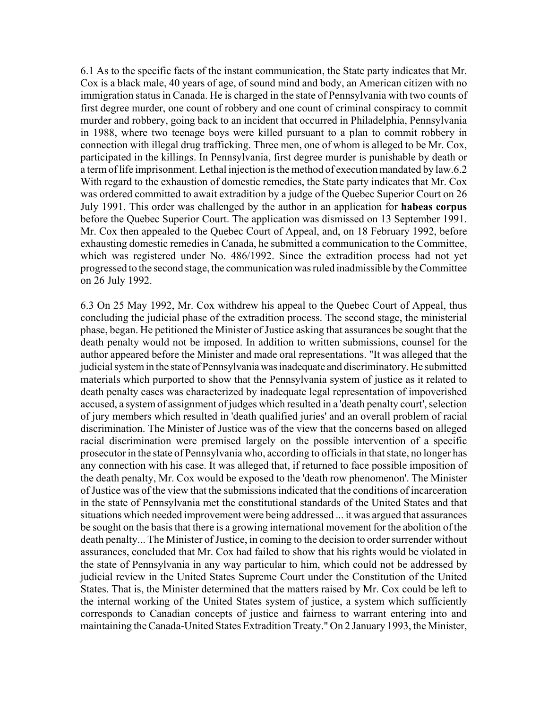6.1 As to the specific facts of the instant communication, the State party indicates that Mr. Cox is a black male, 40 years of age, of sound mind and body, an American citizen with no immigration status in Canada. He is charged in the state of Pennsylvania with two counts of first degree murder, one count of robbery and one count of criminal conspiracy to commit murder and robbery, going back to an incident that occurred in Philadelphia, Pennsylvania in 1988, where two teenage boys were killed pursuant to a plan to commit robbery in connection with illegal drug trafficking. Three men, one of whom is alleged to be Mr. Cox, participated in the killings. In Pennsylvania, first degree murder is punishable by death or a term of life imprisonment. Lethal injection is the method of execution mandated by law.6.2 With regard to the exhaustion of domestic remedies, the State party indicates that Mr. Cox was ordered committed to await extradition by a judge of the Quebec Superior Court on 26 July 1991. This order was challenged by the author in an application for **habeas corpus** before the Quebec Superior Court. The application was dismissed on 13 September 1991. Mr. Cox then appealed to the Quebec Court of Appeal, and, on 18 February 1992, before exhausting domestic remedies in Canada, he submitted a communication to the Committee, which was registered under No. 486/1992. Since the extradition process had not yet progressed to the second stage, the communication was ruled inadmissible by the Committee on 26 July 1992.

6.3 On 25 May 1992, Mr. Cox withdrew his appeal to the Quebec Court of Appeal, thus concluding the judicial phase of the extradition process. The second stage, the ministerial phase, began. He petitioned the Minister of Justice asking that assurances be sought that the death penalty would not be imposed. In addition to written submissions, counsel for the author appeared before the Minister and made oral representations. "It was alleged that the judicial system in the state of Pennsylvania was inadequate and discriminatory. He submitted materials which purported to show that the Pennsylvania system of justice as it related to death penalty cases was characterized by inadequate legal representation of impoverished accused, a system of assignment of judges which resulted in a 'death penalty court', selection of jury members which resulted in 'death qualified juries' and an overall problem of racial discrimination. The Minister of Justice was of the view that the concerns based on alleged racial discrimination were premised largely on the possible intervention of a specific prosecutor in the state of Pennsylvania who, according to officials in that state, no longer has any connection with his case. It was alleged that, if returned to face possible imposition of the death penalty, Mr. Cox would be exposed to the 'death row phenomenon'. The Minister of Justice was of the view that the submissions indicated that the conditions of incarceration in the state of Pennsylvania met the constitutional standards of the United States and that situations which needed improvement were being addressed ... it was argued that assurances be sought on the basis that there is a growing international movement for the abolition of the death penalty... The Minister of Justice, in coming to the decision to order surrender without assurances, concluded that Mr. Cox had failed to show that his rights would be violated in the state of Pennsylvania in any way particular to him, which could not be addressed by judicial review in the United States Supreme Court under the Constitution of the United States. That is, the Minister determined that the matters raised by Mr. Cox could be left to the internal working of the United States system of justice, a system which sufficiently corresponds to Canadian concepts of justice and fairness to warrant entering into and maintaining the Canada-United States Extradition Treaty." On 2 January 1993, the Minister,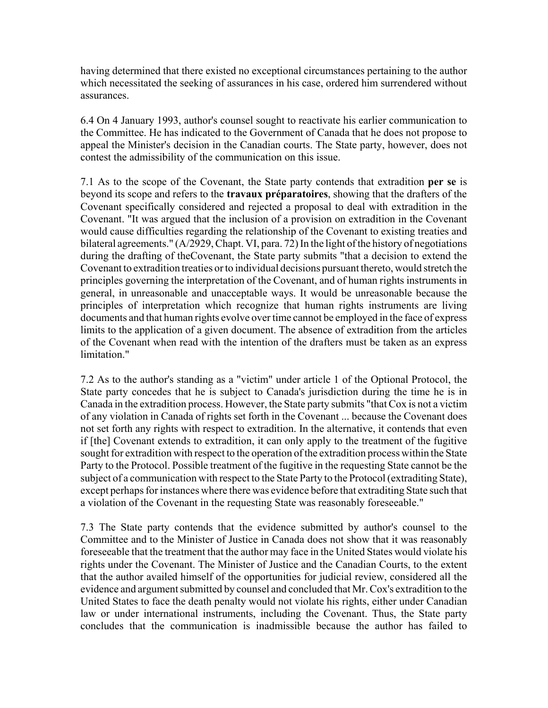having determined that there existed no exceptional circumstances pertaining to the author which necessitated the seeking of assurances in his case, ordered him surrendered without assurances.

6.4 On 4 January 1993, author's counsel sought to reactivate his earlier communication to the Committee. He has indicated to the Government of Canada that he does not propose to appeal the Minister's decision in the Canadian courts. The State party, however, does not contest the admissibility of the communication on this issue.

7.1 As to the scope of the Covenant, the State party contends that extradition **per se** is beyond its scope and refers to the **travaux préparatoires**, showing that the drafters of the Covenant specifically considered and rejected a proposal to deal with extradition in the Covenant. "It was argued that the inclusion of a provision on extradition in the Covenant would cause difficulties regarding the relationship of the Covenant to existing treaties and bilateral agreements." (A/2929, Chapt. VI, para. 72) In the light of the history of negotiations during the drafting of theCovenant, the State party submits "that a decision to extend the Covenant to extradition treaties or to individual decisions pursuant thereto, would stretch the principles governing the interpretation of the Covenant, and of human rights instruments in general, in unreasonable and unacceptable ways. It would be unreasonable because the principles of interpretation which recognize that human rights instruments are living documents and that human rights evolve over time cannot be employed in the face of express limits to the application of a given document. The absence of extradition from the articles of the Covenant when read with the intention of the drafters must be taken as an express limitation."

7.2 As to the author's standing as a "victim" under article 1 of the Optional Protocol, the State party concedes that he is subject to Canada's jurisdiction during the time he is in Canada in the extradition process. However, the State party submits "that Cox is not a victim of any violation in Canada of rights set forth in the Covenant ... because the Covenant does not set forth any rights with respect to extradition. In the alternative, it contends that even if [the] Covenant extends to extradition, it can only apply to the treatment of the fugitive sought for extradition with respect to the operation of the extradition process within the State Party to the Protocol. Possible treatment of the fugitive in the requesting State cannot be the subject of a communication with respect to the State Party to the Protocol (extraditing State), except perhaps for instances where there was evidence before that extraditing State such that a violation of the Covenant in the requesting State was reasonably foreseeable."

7.3 The State party contends that the evidence submitted by author's counsel to the Committee and to the Minister of Justice in Canada does not show that it was reasonably foreseeable that the treatment that the author may face in the United States would violate his rights under the Covenant. The Minister of Justice and the Canadian Courts, to the extent that the author availed himself of the opportunities for judicial review, considered all the evidence and argument submitted by counsel and concluded that Mr. Cox's extradition to the United States to face the death penalty would not violate his rights, either under Canadian law or under international instruments, including the Covenant. Thus, the State party concludes that the communication is inadmissible because the author has failed to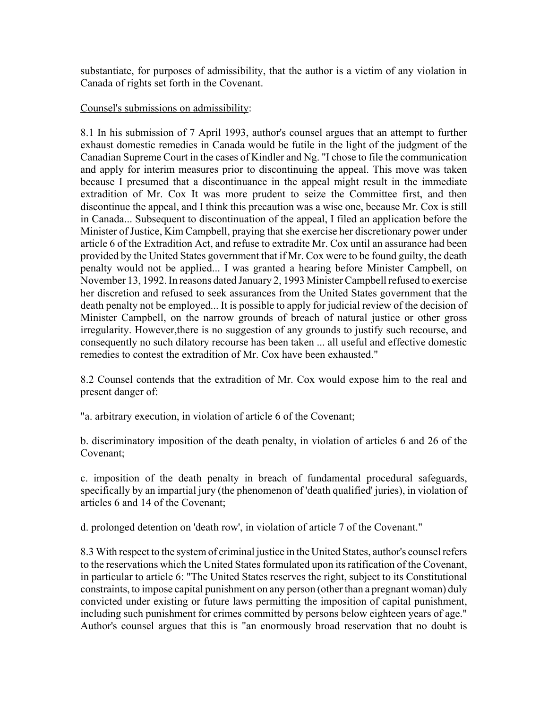substantiate, for purposes of admissibility, that the author is a victim of any violation in Canada of rights set forth in the Covenant.

### Counsel's submissions on admissibility:

8.1 In his submission of 7 April 1993, author's counsel argues that an attempt to further exhaust domestic remedies in Canada would be futile in the light of the judgment of the Canadian Supreme Court in the cases of Kindler and Ng. "I chose to file the communication and apply for interim measures prior to discontinuing the appeal. This move was taken because I presumed that a discontinuance in the appeal might result in the immediate extradition of Mr. Cox It was more prudent to seize the Committee first, and then discontinue the appeal, and I think this precaution was a wise one, because Mr. Cox is still in Canada... Subsequent to discontinuation of the appeal, I filed an application before the Minister of Justice, Kim Campbell, praying that she exercise her discretionary power under article 6 of the Extradition Act, and refuse to extradite Mr. Cox until an assurance had been provided by the United States government that if Mr. Cox were to be found guilty, the death penalty would not be applied... I was granted a hearing before Minister Campbell, on November 13, 1992. In reasons dated January 2, 1993 Minister Campbell refused to exercise her discretion and refused to seek assurances from the United States government that the death penalty not be employed... It is possible to apply for judicial review of the decision of Minister Campbell, on the narrow grounds of breach of natural justice or other gross irregularity. However,there is no suggestion of any grounds to justify such recourse, and consequently no such dilatory recourse has been taken ... all useful and effective domestic remedies to contest the extradition of Mr. Cox have been exhausted."

8.2 Counsel contends that the extradition of Mr. Cox would expose him to the real and present danger of:

"a. arbitrary execution, in violation of article 6 of the Covenant;

b. discriminatory imposition of the death penalty, in violation of articles 6 and 26 of the Covenant;

c. imposition of the death penalty in breach of fundamental procedural safeguards, specifically by an impartial jury (the phenomenon of 'death qualified' juries), in violation of articles 6 and 14 of the Covenant;

d. prolonged detention on 'death row', in violation of article 7 of the Covenant."

8.3 With respect to the system of criminal justice in the United States, author's counsel refers to the reservations which the United States formulated upon its ratification of the Covenant, in particular to article 6: "The United States reserves the right, subject to its Constitutional constraints, to impose capital punishment on any person (other than a pregnant woman) duly convicted under existing or future laws permitting the imposition of capital punishment, including such punishment for crimes committed by persons below eighteen years of age." Author's counsel argues that this is "an enormously broad reservation that no doubt is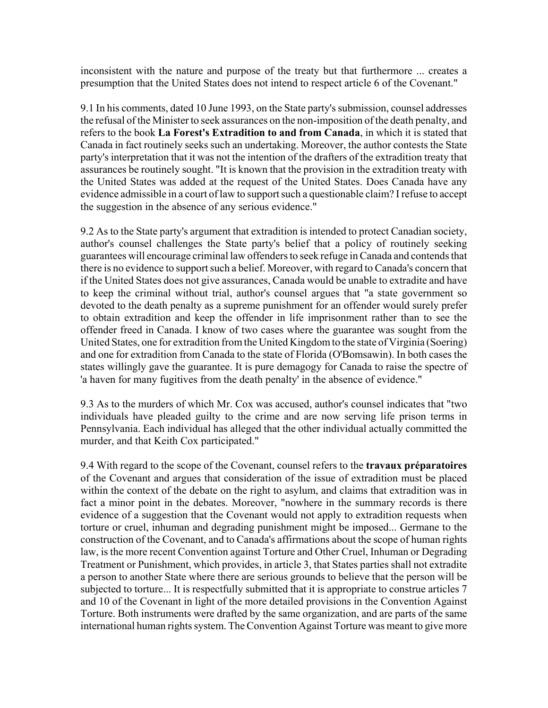inconsistent with the nature and purpose of the treaty but that furthermore ... creates a presumption that the United States does not intend to respect article 6 of the Covenant."

9.1 In his comments, dated 10 June 1993, on the State party's submission, counsel addresses the refusal of the Minister to seek assurances on the non-imposition of the death penalty, and refers to the book **La Forest's Extradition to and from Canada**, in which it is stated that Canada in fact routinely seeks such an undertaking. Moreover, the author contests the State party's interpretation that it was not the intention of the drafters of the extradition treaty that assurances be routinely sought. "It is known that the provision in the extradition treaty with the United States was added at the request of the United States. Does Canada have any evidence admissible in a court of law to support such a questionable claim? I refuse to accept the suggestion in the absence of any serious evidence."

9.2 As to the State party's argument that extradition is intended to protect Canadian society, author's counsel challenges the State party's belief that a policy of routinely seeking guarantees will encourage criminal law offenders to seek refuge in Canada and contends that there is no evidence to support such a belief. Moreover, with regard to Canada's concern that if the United States does not give assurances, Canada would be unable to extradite and have to keep the criminal without trial, author's counsel argues that "a state government so devoted to the death penalty as a supreme punishment for an offender would surely prefer to obtain extradition and keep the offender in life imprisonment rather than to see the offender freed in Canada. I know of two cases where the guarantee was sought from the United States, one for extradition from the United Kingdom to the state of Virginia (Soering) and one for extradition from Canada to the state of Florida (O'Bomsawin). In both cases the states willingly gave the guarantee. It is pure demagogy for Canada to raise the spectre of 'a haven for many fugitives from the death penalty' in the absence of evidence."

9.3 As to the murders of which Mr. Cox was accused, author's counsel indicates that "two individuals have pleaded guilty to the crime and are now serving life prison terms in Pennsylvania. Each individual has alleged that the other individual actually committed the murder, and that Keith Cox participated."

9.4 With regard to the scope of the Covenant, counsel refers to the **travaux préparatoires** of the Covenant and argues that consideration of the issue of extradition must be placed within the context of the debate on the right to asylum, and claims that extradition was in fact a minor point in the debates. Moreover, "nowhere in the summary records is there evidence of a suggestion that the Covenant would not apply to extradition requests when torture or cruel, inhuman and degrading punishment might be imposed... Germane to the construction of the Covenant, and to Canada's affirmations about the scope of human rights law, is the more recent Convention against Torture and Other Cruel, Inhuman or Degrading Treatment or Punishment, which provides, in article 3, that States parties shall not extradite a person to another State where there are serious grounds to believe that the person will be subjected to torture... It is respectfully submitted that it is appropriate to construe articles 7 and 10 of the Covenant in light of the more detailed provisions in the Convention Against Torture. Both instruments were drafted by the same organization, and are parts of the same international human rights system. The Convention Against Torture was meant to give more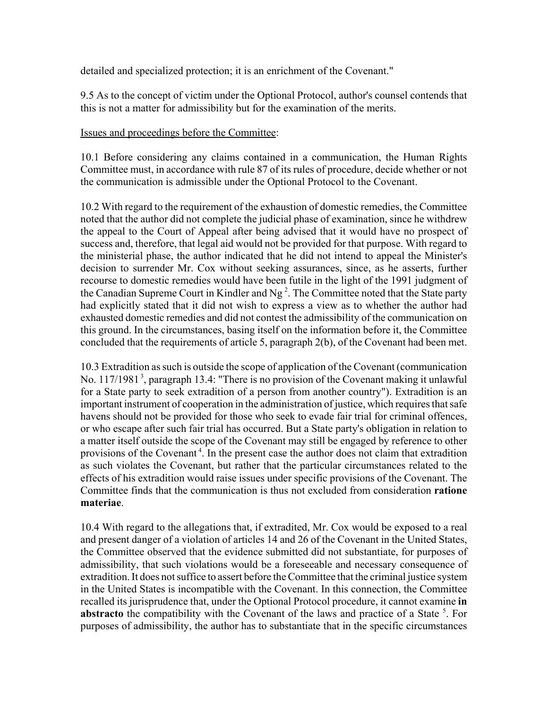detailed and specialized protection; it is an enrichment of the Covenant."

9.5 As to the concept of victim under the Optional Protocol, author's counsel contends that this is not a matter for admissibility but for the examination of the merits.

### Issues and proceedings before the Committee:

10.1 Before considering any claims contained in a communication, the Human Rights Committee must, in accordance with rule 87 of its rules of procedure, decide whether or not the communication is admissible under the Optional Protocol to the Covenant.

10.2 With regard to the requirement of the exhaustion of domestic remedies, the Committee noted that the author did not complete the judicial phase of examination, since he withdrew the appeal to the Court of Appeal after being advised that it would have no prospect of success and, therefore, that legal aid would not be provided for that purpose. With regard to the ministerial phase, the author indicated that he did not intend to appeal the Minister's decision to surrender Mr. Cox without seeking assurances, since, as he asserts, further recourse to domestic remedies would have been futile in the light of the 1991 judgment of the Canadian Supreme Court in Kindler and Ng<sup>2</sup>. The Committee noted that the State party had explicitly stated that it did not wish to express a view as to whether the author had exhausted domestic remedies and did not contest the admissibility of the communication on this ground. In the circumstances, basing itself on the information before it, the Committee concluded that the requirements of article 5, paragraph 2(b), of the Covenant had been met.

10.3 Extradition as such is outside the scope of application of the Covenant (communication No. 117/1981<sup>3</sup>, paragraph 13.4: "There is no provision of the Covenant making it unlawful for a State party to seek extradition of a person from another country"). Extradition is an important instrument of cooperation in the administration of justice, which requires that safe havens should not be provided for those who seek to evade fair trial for criminal offences, or who escape after such fair trial has occurred. But a State party's obligation in relation to a matter itself outside the scope of the Covenant may still be engaged by reference to other provisions of the Covenant 4. In the present case the author does not claim that extradition as such violates the Covenant, but rather that the particular circumstances related to the effects of his extradition would raise issues under specific provisions of the Covenant. The Committee finds that the communication is thus not excluded from consideration **ratione materiae**.

10.4 With regard to the allegations that, if extradited, Mr. Cox would be exposed to a real and present danger of a violation of articles 14 and 26 of the Covenant in the United States, the Committee observed that the evidence submitted did not substantiate, for purposes of admissibility, that such violations would be a foreseeable and necessary consequence of extradition. It does not suffice to assert before the Committee that the criminal justice system in the United States is incompatible with the Covenant. In this connection, the Committee recalled its jurisprudence that, under the Optional Protocol procedure, it cannot examine **in** abstracto the compatibility with the Covenant of the laws and practice of a State<sup>5</sup>. For purposes of admissibility, the author has to substantiate that in the specific circumstances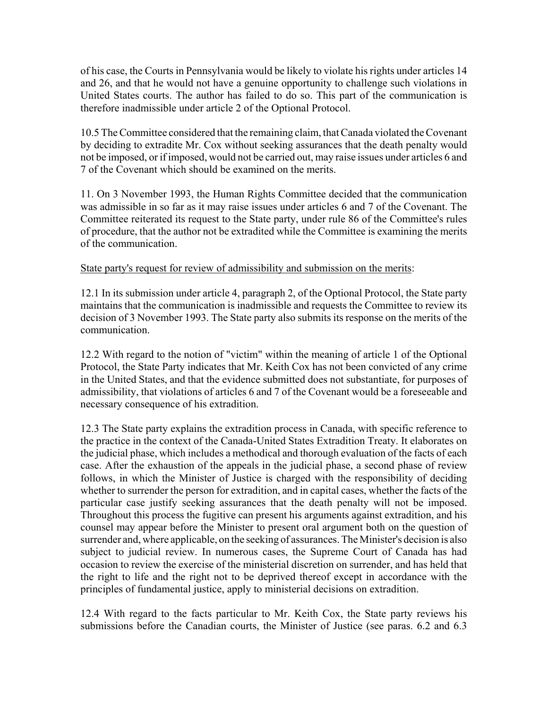of his case, the Courts in Pennsylvania would be likely to violate his rights under articles 14 and 26, and that he would not have a genuine opportunity to challenge such violations in United States courts. The author has failed to do so. This part of the communication is therefore inadmissible under article 2 of the Optional Protocol.

10.5 The Committee considered that the remaining claim, that Canada violated the Covenant by deciding to extradite Mr. Cox without seeking assurances that the death penalty would not be imposed, or if imposed, would not be carried out, may raise issues under articles 6 and 7 of the Covenant which should be examined on the merits.

11. On 3 November 1993, the Human Rights Committee decided that the communication was admissible in so far as it may raise issues under articles 6 and 7 of the Covenant. The Committee reiterated its request to the State party, under rule 86 of the Committee's rules of procedure, that the author not be extradited while the Committee is examining the merits of the communication.

## State party's request for review of admissibility and submission on the merits:

12.1 In its submission under article 4, paragraph 2, of the Optional Protocol, the State party maintains that the communication is inadmissible and requests the Committee to review its decision of 3 November 1993. The State party also submits its response on the merits of the communication.

12.2 With regard to the notion of "victim" within the meaning of article 1 of the Optional Protocol, the State Party indicates that Mr. Keith Cox has not been convicted of any crime in the United States, and that the evidence submitted does not substantiate, for purposes of admissibility, that violations of articles 6 and 7 of the Covenant would be a foreseeable and necessary consequence of his extradition.

12.3 The State party explains the extradition process in Canada, with specific reference to the practice in the context of the Canada-United States Extradition Treaty. It elaborates on the judicial phase, which includes a methodical and thorough evaluation of the facts of each case. After the exhaustion of the appeals in the judicial phase, a second phase of review follows, in which the Minister of Justice is charged with the responsibility of deciding whether to surrender the person for extradition, and in capital cases, whether the facts of the particular case justify seeking assurances that the death penalty will not be imposed. Throughout this process the fugitive can present his arguments against extradition, and his counsel may appear before the Minister to present oral argument both on the question of surrender and, where applicable, on the seeking of assurances. The Minister's decision is also subject to judicial review. In numerous cases, the Supreme Court of Canada has had occasion to review the exercise of the ministerial discretion on surrender, and has held that the right to life and the right not to be deprived thereof except in accordance with the principles of fundamental justice, apply to ministerial decisions on extradition.

12.4 With regard to the facts particular to Mr. Keith Cox, the State party reviews his submissions before the Canadian courts, the Minister of Justice (see paras. 6.2 and 6.3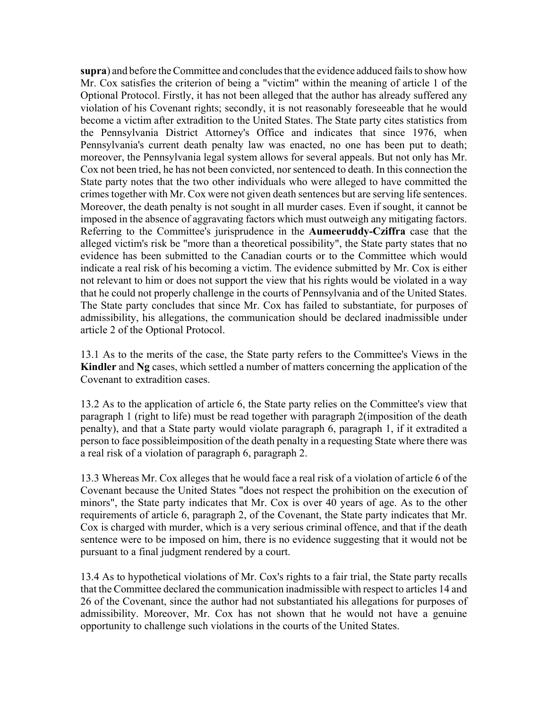**supra**) and before the Committee and concludes that the evidence adduced fails to show how Mr. Cox satisfies the criterion of being a "victim" within the meaning of article 1 of the Optional Protocol. Firstly, it has not been alleged that the author has already suffered any violation of his Covenant rights; secondly, it is not reasonably foreseeable that he would become a victim after extradition to the United States. The State party cites statistics from the Pennsylvania District Attorney's Office and indicates that since 1976, when Pennsylvania's current death penalty law was enacted, no one has been put to death; moreover, the Pennsylvania legal system allows for several appeals. But not only has Mr. Cox not been tried, he has not been convicted, nor sentenced to death. In this connection the State party notes that the two other individuals who were alleged to have committed the crimes together with Mr. Cox were not given death sentences but are serving life sentences. Moreover, the death penalty is not sought in all murder cases. Even if sought, it cannot be imposed in the absence of aggravating factors which must outweigh any mitigating factors. Referring to the Committee's jurisprudence in the **Aumeeruddy-Cziffra** case that the alleged victim's risk be "more than a theoretical possibility", the State party states that no evidence has been submitted to the Canadian courts or to the Committee which would indicate a real risk of his becoming a victim. The evidence submitted by Mr. Cox is either not relevant to him or does not support the view that his rights would be violated in a way that he could not properly challenge in the courts of Pennsylvania and of the United States. The State party concludes that since Mr. Cox has failed to substantiate, for purposes of admissibility, his allegations, the communication should be declared inadmissible under article 2 of the Optional Protocol.

13.1 As to the merits of the case, the State party refers to the Committee's Views in the **Kindler** and **Ng** cases, which settled a number of matters concerning the application of the Covenant to extradition cases.

13.2 As to the application of article 6, the State party relies on the Committee's view that paragraph 1 (right to life) must be read together with paragraph 2(imposition of the death penalty), and that a State party would violate paragraph 6, paragraph 1, if it extradited a person to face possibleimposition of the death penalty in a requesting State where there was a real risk of a violation of paragraph 6, paragraph 2.

13.3 Whereas Mr. Cox alleges that he would face a real risk of a violation of article 6 of the Covenant because the United States "does not respect the prohibition on the execution of minors", the State party indicates that Mr. Cox is over 40 years of age. As to the other requirements of article 6, paragraph 2, of the Covenant, the State party indicates that Mr. Cox is charged with murder, which is a very serious criminal offence, and that if the death sentence were to be imposed on him, there is no evidence suggesting that it would not be pursuant to a final judgment rendered by a court.

13.4 As to hypothetical violations of Mr. Cox's rights to a fair trial, the State party recalls that the Committee declared the communication inadmissible with respect to articles 14 and 26 of the Covenant, since the author had not substantiated his allegations for purposes of admissibility. Moreover, Mr. Cox has not shown that he would not have a genuine opportunity to challenge such violations in the courts of the United States.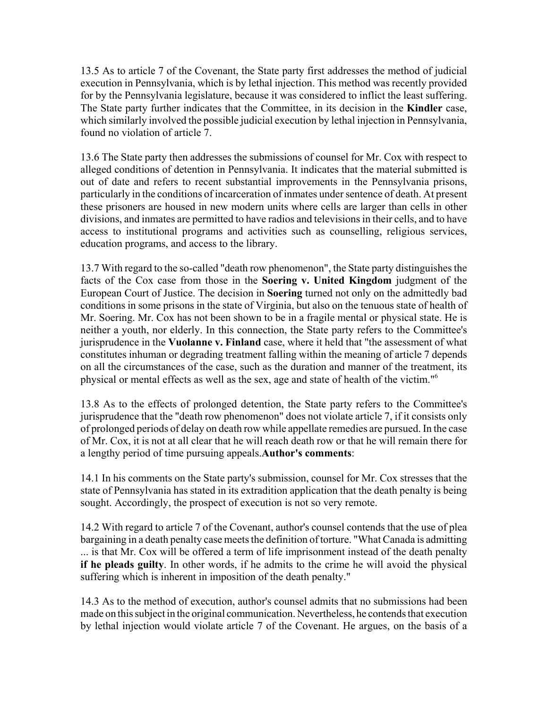13.5 As to article 7 of the Covenant, the State party first addresses the method of judicial execution in Pennsylvania, which is by lethal injection. This method was recently provided for by the Pennsylvania legislature, because it was considered to inflict the least suffering. The State party further indicates that the Committee, in its decision in the **Kindler** case, which similarly involved the possible judicial execution by lethal injection in Pennsylvania, found no violation of article 7.

13.6 The State party then addresses the submissions of counsel for Mr. Cox with respect to alleged conditions of detention in Pennsylvania. It indicates that the material submitted is out of date and refers to recent substantial improvements in the Pennsylvania prisons, particularly in the conditions of incarceration of inmates under sentence of death. At present these prisoners are housed in new modern units where cells are larger than cells in other divisions, and inmates are permitted to have radios and televisions in their cells, and to have access to institutional programs and activities such as counselling, religious services, education programs, and access to the library.

13.7 With regard to the so-called "death row phenomenon", the State party distinguishes the facts of the Cox case from those in the **Soering v. United Kingdom** judgment of the European Court of Justice. The decision in **Soering** turned not only on the admittedly bad conditions in some prisons in the state of Virginia, but also on the tenuous state of health of Mr. Soering. Mr. Cox has not been shown to be in a fragile mental or physical state. He is neither a youth, nor elderly. In this connection, the State party refers to the Committee's jurisprudence in the **Vuolanne v. Finland** case, where it held that "the assessment of what constitutes inhuman or degrading treatment falling within the meaning of article 7 depends on all the circumstances of the case, such as the duration and manner of the treatment, its physical or mental effects as well as the sex, age and state of health of the victim."6

13.8 As to the effects of prolonged detention, the State party refers to the Committee's jurisprudence that the "death row phenomenon" does not violate article 7, if it consists only of prolonged periods of delay on death row while appellate remedies are pursued. In the case of Mr. Cox, it is not at all clear that he will reach death row or that he will remain there for a lengthy period of time pursuing appeals.**Author's comments**:

14.1 In his comments on the State party's submission, counsel for Mr. Cox stresses that the state of Pennsylvania has stated in its extradition application that the death penalty is being sought. Accordingly, the prospect of execution is not so very remote.

14.2 With regard to article 7 of the Covenant, author's counsel contends that the use of plea bargaining in a death penalty case meets the definition of torture. "What Canada is admitting ... is that Mr. Cox will be offered a term of life imprisonment instead of the death penalty **if he pleads guilty**. In other words, if he admits to the crime he will avoid the physical suffering which is inherent in imposition of the death penalty."

14.3 As to the method of execution, author's counsel admits that no submissions had been made on this subject in the original communication. Nevertheless, he contends that execution by lethal injection would violate article 7 of the Covenant. He argues, on the basis of a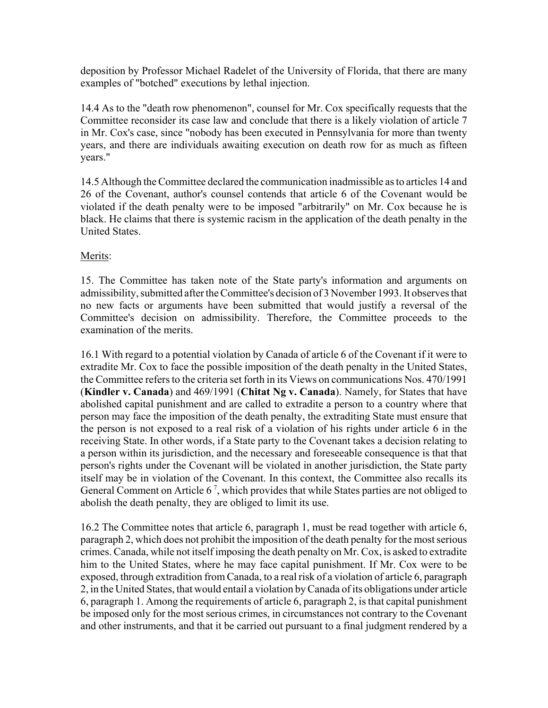deposition by Professor Michael Radelet of the University of Florida, that there are many examples of "botched" executions by lethal injection.

14.4 As to the "death row phenomenon", counsel for Mr. Cox specifically requests that the Committee reconsider its case law and conclude that there is a likely violation of article 7 in Mr. Cox's case, since "nobody has been executed in Pennsylvania for more than twenty years, and there are individuals awaiting execution on death row for as much as fifteen years."

14.5 Although the Committee declared the communication inadmissible as to articles 14 and 26 of the Covenant, author's counsel contends that article 6 of the Covenant would be violated if the death penalty were to be imposed "arbitrarily" on Mr. Cox because he is black. He claims that there is systemic racism in the application of the death penalty in the United States.

## Merits:

15. The Committee has taken note of the State party's information and arguments on admissibility, submitted after the Committee's decision of 3 November 1993. It observes that no new facts or arguments have been submitted that would justify a reversal of the Committee's decision on admissibility. Therefore, the Committee proceeds to the examination of the merits.

16.1 With regard to a potential violation by Canada of article 6 of the Covenant if it were to extradite Mr. Cox to face the possible imposition of the death penalty in the United States, the Committee refers to the criteria set forth in its Views on communications Nos. 470/1991 (**Kindler v. Canada**) and 469/1991 (**Chitat Ng v. Canada**). Namely, for States that have abolished capital punishment and are called to extradite a person to a country where that person may face the imposition of the death penalty, the extraditing State must ensure that the person is not exposed to a real risk of a violation of his rights under article 6 in the receiving State. In other words, if a State party to the Covenant takes a decision relating to a person within its jurisdiction, and the necessary and foreseeable consequence is that that person's rights under the Covenant will be violated in another jurisdiction, the State party itself may be in violation of the Covenant. In this context, the Committee also recalls its General Comment on Article 6<sup>7</sup>, which provides that while States parties are not obliged to abolish the death penalty, they are obliged to limit its use.

16.2 The Committee notes that article 6, paragraph 1, must be read together with article 6, paragraph 2, which does not prohibit the imposition of the death penalty for the most serious crimes. Canada, while not itself imposing the death penalty on Mr. Cox, is asked to extradite him to the United States, where he may face capital punishment. If Mr. Cox were to be exposed, through extradition from Canada, to a real risk of a violation of article 6, paragraph 2, in the United States, that would entail a violation by Canada of its obligations under article 6, paragraph 1. Among the requirements of article 6, paragraph 2, is that capital punishment be imposed only for the most serious crimes, in circumstances not contrary to the Covenant and other instruments, and that it be carried out pursuant to a final judgment rendered by a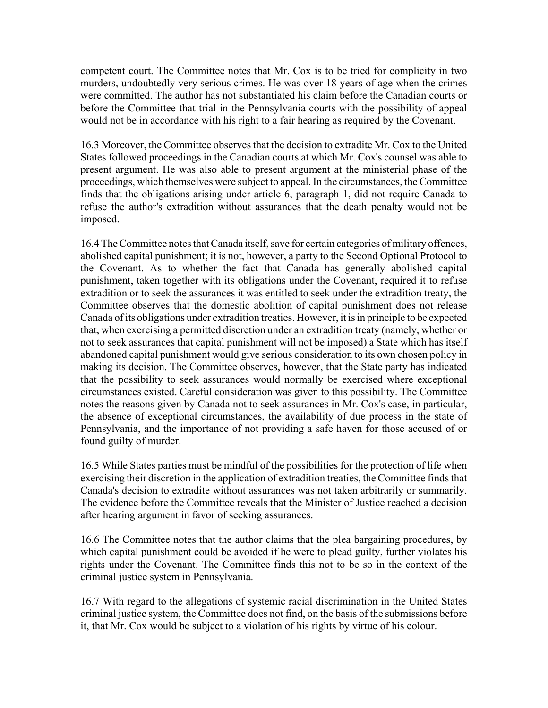competent court. The Committee notes that Mr. Cox is to be tried for complicity in two murders, undoubtedly very serious crimes. He was over 18 years of age when the crimes were committed. The author has not substantiated his claim before the Canadian courts or before the Committee that trial in the Pennsylvania courts with the possibility of appeal would not be in accordance with his right to a fair hearing as required by the Covenant.

16.3 Moreover, the Committee observes that the decision to extradite Mr. Cox to the United States followed proceedings in the Canadian courts at which Mr. Cox's counsel was able to present argument. He was also able to present argument at the ministerial phase of the proceedings, which themselves were subject to appeal. In the circumstances, the Committee finds that the obligations arising under article 6, paragraph 1, did not require Canada to refuse the author's extradition without assurances that the death penalty would not be imposed.

16.4 The Committee notes that Canada itself, save for certain categories of military offences, abolished capital punishment; it is not, however, a party to the Second Optional Protocol to the Covenant. As to whether the fact that Canada has generally abolished capital punishment, taken together with its obligations under the Covenant, required it to refuse extradition or to seek the assurances it was entitled to seek under the extradition treaty, the Committee observes that the domestic abolition of capital punishment does not release Canada of its obligations under extradition treaties. However, it is in principle to be expected that, when exercising a permitted discretion under an extradition treaty (namely, whether or not to seek assurances that capital punishment will not be imposed) a State which has itself abandoned capital punishment would give serious consideration to its own chosen policy in making its decision. The Committee observes, however, that the State party has indicated that the possibility to seek assurances would normally be exercised where exceptional circumstances existed. Careful consideration was given to this possibility. The Committee notes the reasons given by Canada not to seek assurances in Mr. Cox's case, in particular, the absence of exceptional circumstances, the availability of due process in the state of Pennsylvania, and the importance of not providing a safe haven for those accused of or found guilty of murder.

16.5 While States parties must be mindful of the possibilities for the protection of life when exercising their discretion in the application of extradition treaties, the Committee finds that Canada's decision to extradite without assurances was not taken arbitrarily or summarily. The evidence before the Committee reveals that the Minister of Justice reached a decision after hearing argument in favor of seeking assurances.

16.6 The Committee notes that the author claims that the plea bargaining procedures, by which capital punishment could be avoided if he were to plead guilty, further violates his rights under the Covenant. The Committee finds this not to be so in the context of the criminal justice system in Pennsylvania.

16.7 With regard to the allegations of systemic racial discrimination in the United States criminal justice system, the Committee does not find, on the basis of the submissions before it, that Mr. Cox would be subject to a violation of his rights by virtue of his colour.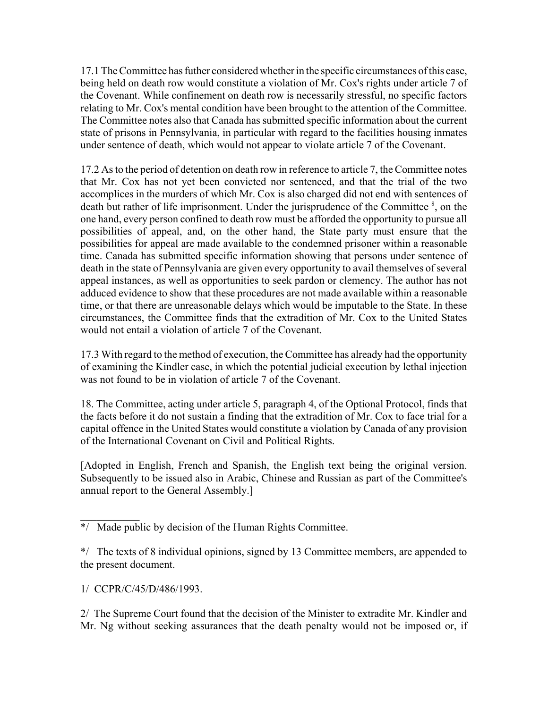17.1 The Committee has futher considered whether in the specific circumstances of this case, being held on death row would constitute a violation of Mr. Cox's rights under article 7 of the Covenant. While confinement on death row is necessarily stressful, no specific factors relating to Mr. Cox's mental condition have been brought to the attention of the Committee. The Committee notes also that Canada has submitted specific information about the current state of prisons in Pennsylvania, in particular with regard to the facilities housing inmates under sentence of death, which would not appear to violate article 7 of the Covenant.

17.2 As to the period of detention on death row in reference to article 7, the Committee notes that Mr. Cox has not yet been convicted nor sentenced, and that the trial of the two accomplices in the murders of which Mr. Cox is also charged did not end with sentences of death but rather of life imprisonment. Under the jurisprudence of the Committee <sup>8</sup>, on the one hand, every person confined to death row must be afforded the opportunity to pursue all possibilities of appeal, and, on the other hand, the State party must ensure that the possibilities for appeal are made available to the condemned prisoner within a reasonable time. Canada has submitted specific information showing that persons under sentence of death in the state of Pennsylvania are given every opportunity to avail themselves of several appeal instances, as well as opportunities to seek pardon or clemency. The author has not adduced evidence to show that these procedures are not made available within a reasonable time, or that there are unreasonable delays which would be imputable to the State. In these circumstances, the Committee finds that the extradition of Mr. Cox to the United States would not entail a violation of article 7 of the Covenant.

17.3 With regard to the method of execution, the Committee has already had the opportunity of examining the Kindler case, in which the potential judicial execution by lethal injection was not found to be in violation of article 7 of the Covenant.

18. The Committee, acting under article 5, paragraph 4, of the Optional Protocol, finds that the facts before it do not sustain a finding that the extradition of Mr. Cox to face trial for a capital offence in the United States would constitute a violation by Canada of any provision of the International Covenant on Civil and Political Rights.

[Adopted in English, French and Spanish, the English text being the original version. Subsequently to be issued also in Arabic, Chinese and Russian as part of the Committee's annual report to the General Assembly.]

 $\mathcal{L}_\text{max}$ 

2/ The Supreme Court found that the decision of the Minister to extradite Mr. Kindler and Mr. Ng without seeking assurances that the death penalty would not be imposed or, if

<sup>\*/</sup> Made public by decision of the Human Rights Committee.

<sup>\*/</sup> The texts of 8 individual opinions, signed by 13 Committee members, are appended to the present document.

<sup>1/</sup> CCPR/C/45/D/486/1993.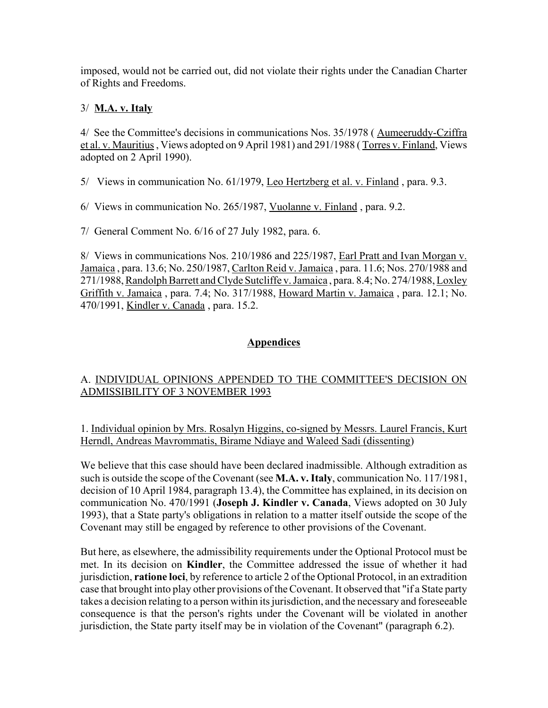imposed, would not be carried out, did not violate their rights under the Canadian Charter of Rights and Freedoms.

## 3/ **M.A. v. Italy**

4/ See the Committee's decisions in communications Nos. 35/1978 ( Aumeeruddy-Cziffra et al. v. Mauritius , Views adopted on 9 April 1981) and 291/1988 ( Torres v. Finland, Views adopted on 2 April 1990).

5/ Views in communication No. 61/1979, Leo Hertzberg et al. v. Finland , para. 9.3.

6/ Views in communication No. 265/1987, Vuolanne v. Finland , para. 9.2.

7/ General Comment No. 6/16 of 27 July 1982, para. 6.

8/ Views in communications Nos. 210/1986 and 225/1987, Earl Pratt and Ivan Morgan v. Jamaica , para. 13.6; No. 250/1987, Carlton Reid v. Jamaica , para. 11.6; Nos. 270/1988 and 271/1988, Randolph Barrett and Clyde Sutcliffe v. Jamaica , para. 8.4; No. 274/1988, Loxley Griffith v. Jamaica , para. 7.4; No. 317/1988, Howard Martin v. Jamaica , para. 12.1; No. 470/1991, Kindler v. Canada , para. 15.2.

# **Appendices**

# A. INDIVIDUAL OPINIONS APPENDED TO THE COMMITTEE'S DECISION ON ADMISSIBILITY OF 3 NOVEMBER 1993

1. Individual opinion by Mrs. Rosalyn Higgins, co-signed by Messrs. Laurel Francis, Kurt Herndl, Andreas Mavrommatis, Birame Ndiaye and Waleed Sadi (dissenting)

We believe that this case should have been declared inadmissible. Although extradition as such is outside the scope of the Covenant (see **M.A. v. Italy**, communication No. 117/1981, decision of 10 April 1984, paragraph 13.4), the Committee has explained, in its decision on communication No. 470/1991 (**Joseph J. Kindler v. Canada**, Views adopted on 30 July 1993), that a State party's obligations in relation to a matter itself outside the scope of the Covenant may still be engaged by reference to other provisions of the Covenant.

But here, as elsewhere, the admissibility requirements under the Optional Protocol must be met. In its decision on **Kindler**, the Committee addressed the issue of whether it had jurisdiction, **ratione loci**, by reference to article 2 of the Optional Protocol, in an extradition case that brought into play other provisions of the Covenant. It observed that "if a State party takes a decision relating to a person within its jurisdiction, and the necessary and foreseeable consequence is that the person's rights under the Covenant will be violated in another jurisdiction, the State party itself may be in violation of the Covenant" (paragraph 6.2).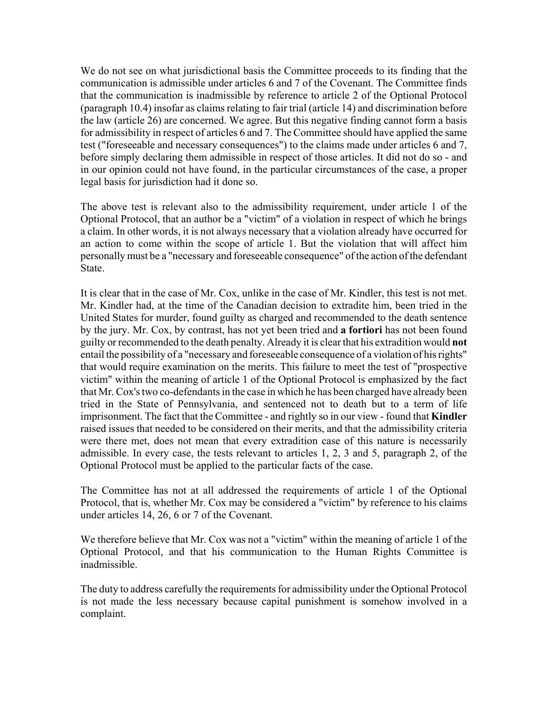We do not see on what jurisdictional basis the Committee proceeds to its finding that the communication is admissible under articles 6 and 7 of the Covenant. The Committee finds that the communication is inadmissible by reference to article 2 of the Optional Protocol (paragraph 10.4) insofar as claims relating to fair trial (article 14) and discrimination before the law (article 26) are concerned. We agree. But this negative finding cannot form a basis for admissibility in respect of articles 6 and 7. The Committee should have applied the same test ("foreseeable and necessary consequences") to the claims made under articles 6 and 7, before simply declaring them admissible in respect of those articles. It did not do so - and in our opinion could not have found, in the particular circumstances of the case, a proper legal basis for jurisdiction had it done so.

The above test is relevant also to the admissibility requirement, under article 1 of the Optional Protocol, that an author be a "victim" of a violation in respect of which he brings a claim. In other words, it is not always necessary that a violation already have occurred for an action to come within the scope of article 1. But the violation that will affect him personally must be a "necessary and foreseeable consequence" of the action of the defendant State.

It is clear that in the case of Mr. Cox, unlike in the case of Mr. Kindler, this test is not met. Mr. Kindler had, at the time of the Canadian decision to extradite him, been tried in the United States for murder, found guilty as charged and recommended to the death sentence by the jury. Mr. Cox, by contrast, has not yet been tried and **a fortiori** has not been found guilty or recommended to the death penalty. Already it is clear that his extradition would **not** entail the possibility of a "necessary and foreseeable consequence of a violation of his rights" that would require examination on the merits. This failure to meet the test of "prospective victim" within the meaning of article 1 of the Optional Protocol is emphasized by the fact that Mr. Cox's two co-defendants in the case in which he has been charged have already been tried in the State of Pennsylvania, and sentenced not to death but to a term of life imprisonment. The fact that the Committee - and rightly so in our view - found that **Kindler** raised issues that needed to be considered on their merits, and that the admissibility criteria were there met, does not mean that every extradition case of this nature is necessarily admissible. In every case, the tests relevant to articles 1, 2, 3 and 5, paragraph 2, of the Optional Protocol must be applied to the particular facts of the case.

The Committee has not at all addressed the requirements of article 1 of the Optional Protocol, that is, whether Mr. Cox may be considered a "victim" by reference to his claims under articles 14, 26, 6 or 7 of the Covenant.

We therefore believe that Mr. Cox was not a "victim" within the meaning of article 1 of the Optional Protocol, and that his communication to the Human Rights Committee is inadmissible.

The duty to address carefully the requirements for admissibility under the Optional Protocol is not made the less necessary because capital punishment is somehow involved in a complaint.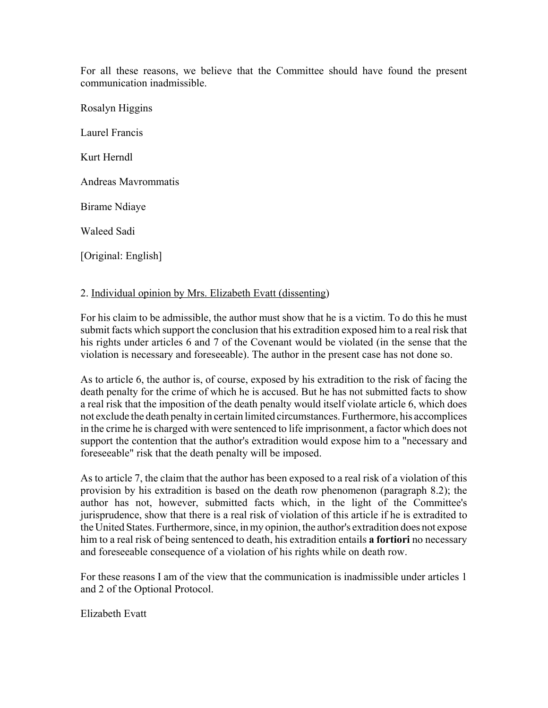For all these reasons, we believe that the Committee should have found the present communication inadmissible.

Rosalyn Higgins Laurel Francis Kurt Herndl Andreas Mavrommatis Birame Ndiaye Waleed Sadi [Original: English]

# 2. Individual opinion by Mrs. Elizabeth Evatt (dissenting)

For his claim to be admissible, the author must show that he is a victim. To do this he must submit facts which support the conclusion that his extradition exposed him to a real risk that his rights under articles 6 and 7 of the Covenant would be violated (in the sense that the violation is necessary and foreseeable). The author in the present case has not done so.

As to article 6, the author is, of course, exposed by his extradition to the risk of facing the death penalty for the crime of which he is accused. But he has not submitted facts to show a real risk that the imposition of the death penalty would itself violate article 6, which does not exclude the death penalty in certain limited circumstances. Furthermore, his accomplices in the crime he is charged with were sentenced to life imprisonment, a factor which does not support the contention that the author's extradition would expose him to a "necessary and foreseeable" risk that the death penalty will be imposed.

As to article 7, the claim that the author has been exposed to a real risk of a violation of this provision by his extradition is based on the death row phenomenon (paragraph 8.2); the author has not, however, submitted facts which, in the light of the Committee's jurisprudence, show that there is a real risk of violation of this article if he is extradited to the United States. Furthermore, since, in my opinion, the author's extradition does not expose him to a real risk of being sentenced to death, his extradition entails **a fortiori** no necessary and foreseeable consequence of a violation of his rights while on death row.

For these reasons I am of the view that the communication is inadmissible under articles 1 and 2 of the Optional Protocol.

Elizabeth Evatt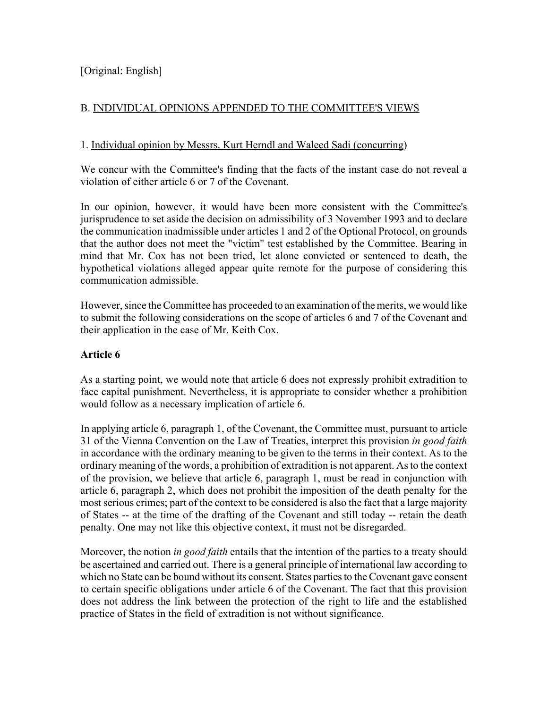# B. INDIVIDUAL OPINIONS APPENDED TO THE COMMITTEE'S VIEWS

# 1. Individual opinion by Messrs. Kurt Herndl and Waleed Sadi (concurring)

We concur with the Committee's finding that the facts of the instant case do not reveal a violation of either article 6 or 7 of the Covenant.

In our opinion, however, it would have been more consistent with the Committee's jurisprudence to set aside the decision on admissibility of 3 November 1993 and to declare the communication inadmissible under articles 1 and 2 of the Optional Protocol, on grounds that the author does not meet the "victim" test established by the Committee. Bearing in mind that Mr. Cox has not been tried, let alone convicted or sentenced to death, the hypothetical violations alleged appear quite remote for the purpose of considering this communication admissible.

However, since the Committee has proceeded to an examination of the merits, we would like to submit the following considerations on the scope of articles 6 and 7 of the Covenant and their application in the case of Mr. Keith Cox.

# **Article 6**

As a starting point, we would note that article 6 does not expressly prohibit extradition to face capital punishment. Nevertheless, it is appropriate to consider whether a prohibition would follow as a necessary implication of article 6.

In applying article 6, paragraph 1, of the Covenant, the Committee must, pursuant to article 31 of the Vienna Convention on the Law of Treaties, interpret this provision *in good faith* in accordance with the ordinary meaning to be given to the terms in their context. As to the ordinary meaning of the words, a prohibition of extradition is not apparent. As to the context of the provision, we believe that article 6, paragraph 1, must be read in conjunction with article 6, paragraph 2, which does not prohibit the imposition of the death penalty for the most serious crimes; part of the context to be considered is also the fact that a large majority of States -- at the time of the drafting of the Covenant and still today -- retain the death penalty. One may not like this objective context, it must not be disregarded.

Moreover, the notion *in good faith* entails that the intention of the parties to a treaty should be ascertained and carried out. There is a general principle of international law according to which no State can be bound without its consent. States parties to the Covenant gave consent to certain specific obligations under article 6 of the Covenant. The fact that this provision does not address the link between the protection of the right to life and the established practice of States in the field of extradition is not without significance.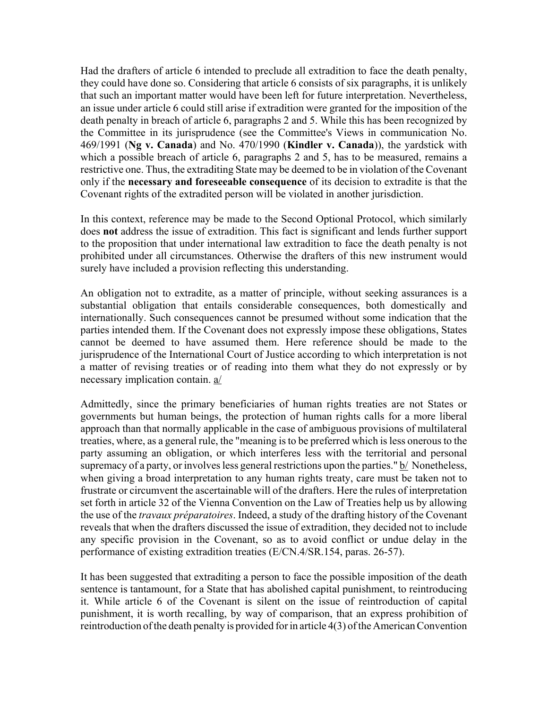Had the drafters of article 6 intended to preclude all extradition to face the death penalty, they could have done so. Considering that article 6 consists of six paragraphs, it is unlikely that such an important matter would have been left for future interpretation. Nevertheless, an issue under article 6 could still arise if extradition were granted for the imposition of the death penalty in breach of article 6, paragraphs 2 and 5. While this has been recognized by the Committee in its jurisprudence (see the Committee's Views in communication No. 469/1991 (**Ng v. Canada**) and No. 470/1990 (**Kindler v. Canada**)), the yardstick with which a possible breach of article 6, paragraphs 2 and 5, has to be measured, remains a restrictive one. Thus, the extraditing State may be deemed to be in violation of the Covenant only if the **necessary and foreseeable consequence** of its decision to extradite is that the Covenant rights of the extradited person will be violated in another jurisdiction.

In this context, reference may be made to the Second Optional Protocol, which similarly does **not** address the issue of extradition. This fact is significant and lends further support to the proposition that under international law extradition to face the death penalty is not prohibited under all circumstances. Otherwise the drafters of this new instrument would surely have included a provision reflecting this understanding.

An obligation not to extradite, as a matter of principle, without seeking assurances is a substantial obligation that entails considerable consequences, both domestically and internationally. Such consequences cannot be presumed without some indication that the parties intended them. If the Covenant does not expressly impose these obligations, States cannot be deemed to have assumed them. Here reference should be made to the jurisprudence of the International Court of Justice according to which interpretation is not a matter of revising treaties or of reading into them what they do not expressly or by necessary implication contain. a/

Admittedly, since the primary beneficiaries of human rights treaties are not States or governments but human beings, the protection of human rights calls for a more liberal approach than that normally applicable in the case of ambiguous provisions of multilateral treaties, where, as a general rule, the "meaning is to be preferred which is less onerous to the party assuming an obligation, or which interferes less with the territorial and personal supremacy of a party, or involves less general restrictions upon the parties." b/ Nonetheless, when giving a broad interpretation to any human rights treaty, care must be taken not to frustrate or circumvent the ascertainable will of the drafters. Here the rules of interpretation set forth in article 32 of the Vienna Convention on the Law of Treaties help us by allowing the use of the *travaux préparatoires*. Indeed, a study of the drafting history of the Covenant reveals that when the drafters discussed the issue of extradition, they decided not to include any specific provision in the Covenant, so as to avoid conflict or undue delay in the performance of existing extradition treaties (E/CN.4/SR.154, paras. 26-57).

It has been suggested that extraditing a person to face the possible imposition of the death sentence is tantamount, for a State that has abolished capital punishment, to reintroducing it. While article 6 of the Covenant is silent on the issue of reintroduction of capital punishment, it is worth recalling, by way of comparison, that an express prohibition of reintroduction of the death penalty is provided for in article 4(3) of the American Convention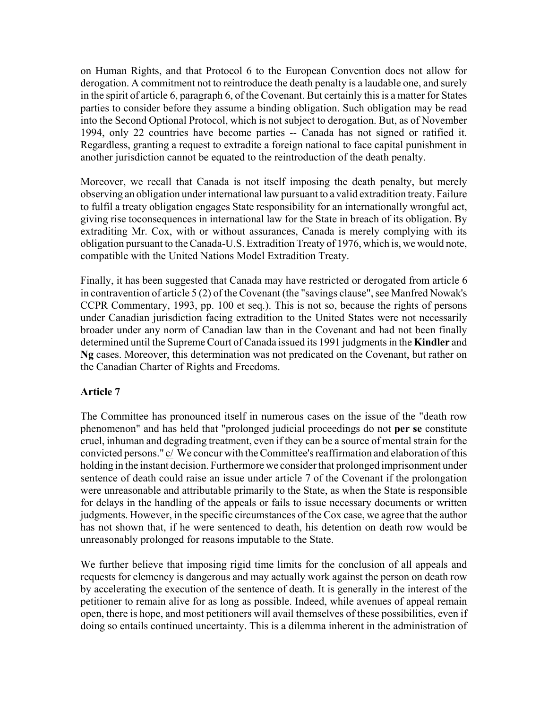on Human Rights, and that Protocol 6 to the European Convention does not allow for derogation. A commitment not to reintroduce the death penalty is a laudable one, and surely in the spirit of article 6, paragraph 6, of the Covenant. But certainly this is a matter for States parties to consider before they assume a binding obligation. Such obligation may be read into the Second Optional Protocol, which is not subject to derogation. But, as of November 1994, only 22 countries have become parties -- Canada has not signed or ratified it. Regardless, granting a request to extradite a foreign national to face capital punishment in another jurisdiction cannot be equated to the reintroduction of the death penalty.

Moreover, we recall that Canada is not itself imposing the death penalty, but merely observing an obligation under international law pursuant to a valid extradition treaty. Failure to fulfil a treaty obligation engages State responsibility for an internationally wrongful act, giving rise toconsequences in international law for the State in breach of its obligation. By extraditing Mr. Cox, with or without assurances, Canada is merely complying with its obligation pursuant to the Canada-U.S. Extradition Treaty of 1976, which is, we would note, compatible with the United Nations Model Extradition Treaty.

Finally, it has been suggested that Canada may have restricted or derogated from article 6 in contravention of article 5 (2) of the Covenant (the "savings clause", see Manfred Nowak's CCPR Commentary, 1993, pp. 100 et seq.). This is not so, because the rights of persons under Canadian jurisdiction facing extradition to the United States were not necessarily broader under any norm of Canadian law than in the Covenant and had not been finally determined until the Supreme Court of Canada issued its 1991 judgments in the **Kindler** and **Ng** cases. Moreover, this determination was not predicated on the Covenant, but rather on the Canadian Charter of Rights and Freedoms.

# **Article 7**

The Committee has pronounced itself in numerous cases on the issue of the "death row phenomenon" and has held that "prolonged judicial proceedings do not **per se** constitute cruel, inhuman and degrading treatment, even if they can be a source of mental strain for the convicted persons." c/ We concur with the Committee's reaffirmation and elaboration of this holding in the instant decision. Furthermore we consider that prolonged imprisonment under sentence of death could raise an issue under article 7 of the Covenant if the prolongation were unreasonable and attributable primarily to the State, as when the State is responsible for delays in the handling of the appeals or fails to issue necessary documents or written judgments. However, in the specific circumstances of the Cox case, we agree that the author has not shown that, if he were sentenced to death, his detention on death row would be unreasonably prolonged for reasons imputable to the State.

We further believe that imposing rigid time limits for the conclusion of all appeals and requests for clemency is dangerous and may actually work against the person on death row by accelerating the execution of the sentence of death. It is generally in the interest of the petitioner to remain alive for as long as possible. Indeed, while avenues of appeal remain open, there is hope, and most petitioners will avail themselves of these possibilities, even if doing so entails continued uncertainty. This is a dilemma inherent in the administration of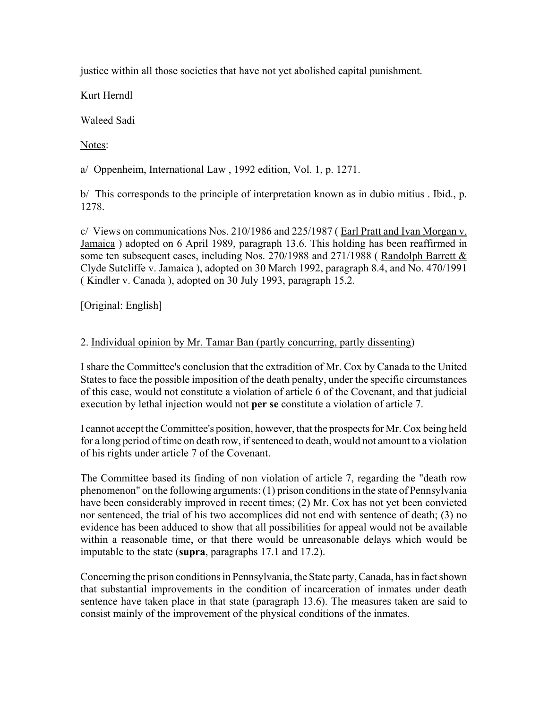justice within all those societies that have not yet abolished capital punishment.

Kurt Herndl

Waleed Sadi

Notes:

a/ Oppenheim, International Law , 1992 edition, Vol. 1, p. 1271.

b/ This corresponds to the principle of interpretation known as in dubio mitius . Ibid., p. 1278.

c/ Views on communications Nos. 210/1986 and 225/1987 ( Earl Pratt and Ivan Morgan v. Jamaica ) adopted on 6 April 1989, paragraph 13.6. This holding has been reaffirmed in some ten subsequent cases, including Nos. 270/1988 and 271/1988 (Randolph Barrett & Clyde Sutcliffe v. Jamaica ), adopted on 30 March 1992, paragraph 8.4, and No. 470/1991 ( Kindler v. Canada ), adopted on 30 July 1993, paragraph 15.2.

[Original: English]

# 2. Individual opinion by Mr. Tamar Ban (partly concurring, partly dissenting)

I share the Committee's conclusion that the extradition of Mr. Cox by Canada to the United States to face the possible imposition of the death penalty, under the specific circumstances of this case, would not constitute a violation of article 6 of the Covenant, and that judicial execution by lethal injection would not **per se** constitute a violation of article 7.

I cannot accept the Committee's position, however, that the prospects for Mr. Cox being held for a long period of time on death row, if sentenced to death, would not amount to a violation of his rights under article 7 of the Covenant.

The Committee based its finding of non violation of article 7, regarding the "death row phenomenon" on the following arguments: (1) prison conditions in the state of Pennsylvania have been considerably improved in recent times; (2) Mr. Cox has not yet been convicted nor sentenced, the trial of his two accomplices did not end with sentence of death; (3) no evidence has been adduced to show that all possibilities for appeal would not be available within a reasonable time, or that there would be unreasonable delays which would be imputable to the state (**supra**, paragraphs 17.1 and 17.2).

Concerning the prison conditions in Pennsylvania, the State party, Canada, has in fact shown that substantial improvements in the condition of incarceration of inmates under death sentence have taken place in that state (paragraph 13.6). The measures taken are said to consist mainly of the improvement of the physical conditions of the inmates.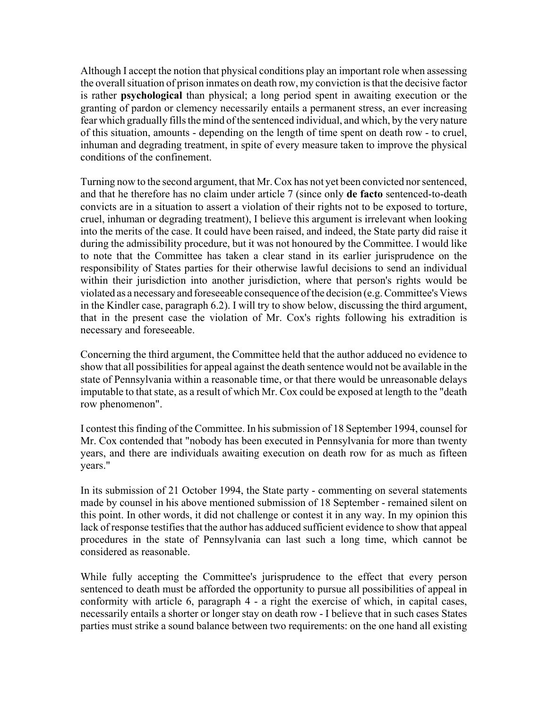Although I accept the notion that physical conditions play an important role when assessing the overall situation of prison inmates on death row, my conviction is that the decisive factor is rather **psychological** than physical; a long period spent in awaiting execution or the granting of pardon or clemency necessarily entails a permanent stress, an ever increasing fear which gradually fills the mind of the sentenced individual, and which, by the very nature of this situation, amounts - depending on the length of time spent on death row - to cruel, inhuman and degrading treatment, in spite of every measure taken to improve the physical conditions of the confinement.

Turning now to the second argument, that Mr. Cox has not yet been convicted nor sentenced, and that he therefore has no claim under article 7 (since only **de facto** sentenced-to-death convicts are in a situation to assert a violation of their rights not to be exposed to torture, cruel, inhuman or degrading treatment), I believe this argument is irrelevant when looking into the merits of the case. It could have been raised, and indeed, the State party did raise it during the admissibility procedure, but it was not honoured by the Committee. I would like to note that the Committee has taken a clear stand in its earlier jurisprudence on the responsibility of States parties for their otherwise lawful decisions to send an individual within their jurisdiction into another jurisdiction, where that person's rights would be violated as a necessary and foreseeable consequence of the decision (e.g. Committee's Views in the Kindler case, paragraph 6.2). I will try to show below, discussing the third argument, that in the present case the violation of Mr. Cox's rights following his extradition is necessary and foreseeable.

Concerning the third argument, the Committee held that the author adduced no evidence to show that all possibilities for appeal against the death sentence would not be available in the state of Pennsylvania within a reasonable time, or that there would be unreasonable delays imputable to that state, as a result of which Mr. Cox could be exposed at length to the "death row phenomenon".

I contest this finding of the Committee. In his submission of 18 September 1994, counsel for Mr. Cox contended that "nobody has been executed in Pennsylvania for more than twenty years, and there are individuals awaiting execution on death row for as much as fifteen years."

In its submission of 21 October 1994, the State party - commenting on several statements made by counsel in his above mentioned submission of 18 September - remained silent on this point. In other words, it did not challenge or contest it in any way. In my opinion this lack of response testifies that the author has adduced sufficient evidence to show that appeal procedures in the state of Pennsylvania can last such a long time, which cannot be considered as reasonable.

While fully accepting the Committee's jurisprudence to the effect that every person sentenced to death must be afforded the opportunity to pursue all possibilities of appeal in conformity with article 6, paragraph 4 - a right the exercise of which, in capital cases, necessarily entails a shorter or longer stay on death row - I believe that in such cases States parties must strike a sound balance between two requirements: on the one hand all existing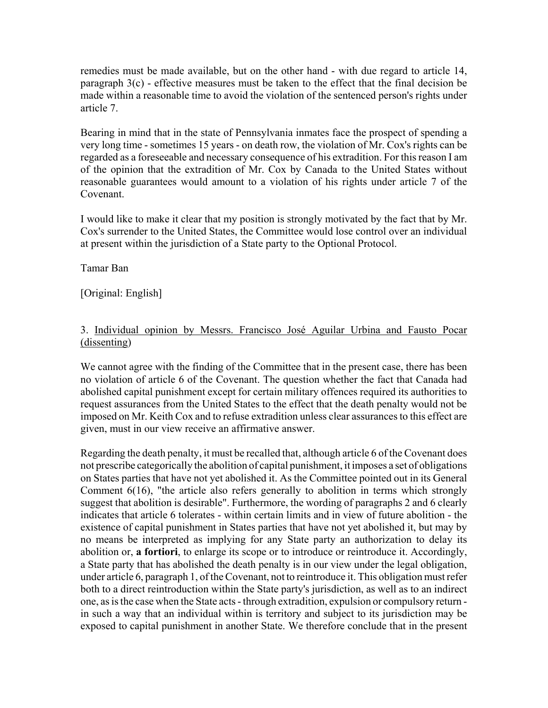remedies must be made available, but on the other hand - with due regard to article 14, paragraph  $3(c)$  - effective measures must be taken to the effect that the final decision be made within a reasonable time to avoid the violation of the sentenced person's rights under article 7.

Bearing in mind that in the state of Pennsylvania inmates face the prospect of spending a very long time - sometimes 15 years - on death row, the violation of Mr. Cox's rights can be regarded as a foreseeable and necessary consequence of his extradition. For this reason I am of the opinion that the extradition of Mr. Cox by Canada to the United States without reasonable guarantees would amount to a violation of his rights under article 7 of the Covenant.

I would like to make it clear that my position is strongly motivated by the fact that by Mr. Cox's surrender to the United States, the Committee would lose control over an individual at present within the jurisdiction of a State party to the Optional Protocol.

Tamar Ban

[Original: English]

# 3. Individual opinion by Messrs. Francisco JosÈ Aguilar Urbina and Fausto Pocar (dissenting)

We cannot agree with the finding of the Committee that in the present case, there has been no violation of article 6 of the Covenant. The question whether the fact that Canada had abolished capital punishment except for certain military offences required its authorities to request assurances from the United States to the effect that the death penalty would not be imposed on Mr. Keith Cox and to refuse extradition unless clear assurances to this effect are given, must in our view receive an affirmative answer.

Regarding the death penalty, it must be recalled that, although article 6 of the Covenant does not prescribe categorically the abolition of capital punishment, it imposes a set of obligations on States parties that have not yet abolished it. As the Committee pointed out in its General Comment 6(16), "the article also refers generally to abolition in terms which strongly suggest that abolition is desirable". Furthermore, the wording of paragraphs 2 and 6 clearly indicates that article 6 tolerates - within certain limits and in view of future abolition - the existence of capital punishment in States parties that have not yet abolished it, but may by no means be interpreted as implying for any State party an authorization to delay its abolition or, **a fortiori**, to enlarge its scope or to introduce or reintroduce it. Accordingly, a State party that has abolished the death penalty is in our view under the legal obligation, under article 6, paragraph 1, of the Covenant, not to reintroduce it. This obligation must refer both to a direct reintroduction within the State party's jurisdiction, as well as to an indirect one, as is the case when the State acts - through extradition, expulsion or compulsory return in such a way that an individual within is territory and subject to its jurisdiction may be exposed to capital punishment in another State. We therefore conclude that in the present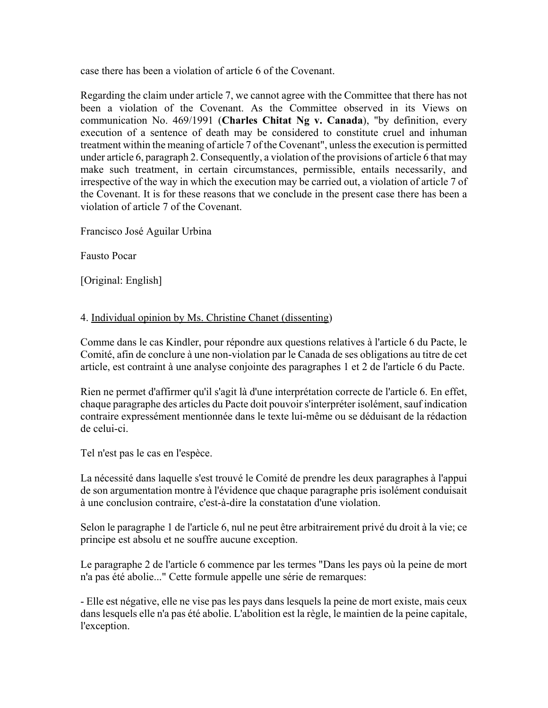case there has been a violation of article 6 of the Covenant.

Regarding the claim under article 7, we cannot agree with the Committee that there has not been a violation of the Covenant. As the Committee observed in its Views on communication No. 469/1991 (**Charles Chitat Ng v. Canada**), "by definition, every execution of a sentence of death may be considered to constitute cruel and inhuman treatment within the meaning of article 7 of the Covenant", unless the execution is permitted under article 6, paragraph 2. Consequently, a violation of the provisions of article 6 that may make such treatment, in certain circumstances, permissible, entails necessarily, and irrespective of the way in which the execution may be carried out, a violation of article 7 of the Covenant. It is for these reasons that we conclude in the present case there has been a violation of article 7 of the Covenant.

Francisco JosÈ Aguilar Urbina

Fausto Pocar

[Original: English]

## 4. Individual opinion by Ms. Christine Chanet (dissenting)

Comme dans le cas Kindler, pour répondre aux questions relatives à l'article 6 du Pacte, le Comité, afin de conclure à une non-violation par le Canada de ses obligations au titre de cet article, est contraint à une analyse conjointe des paragraphes 1 et 2 de l'article 6 du Pacte.

Rien ne permet d'affirmer qu'il s'agit là d'une interprétation correcte de l'article 6. En effet, chaque paragraphe des articles du Pacte doit pouvoir s'interpréter isolément, sauf indication contraire expressément mentionnée dans le texte lui-même ou se déduisant de la rédaction de celui-ci.

Tel n'est pas le cas en l'espèce.

La nécessité dans laquelle s'est trouvé le Comité de prendre les deux paragraphes à l'appui de son argumentation montre à l'évidence que chaque paragraphe pris isolément conduisait à une conclusion contraire, c'est-à-dire la constatation d'une violation.

Selon le paragraphe 1 de l'article 6, nul ne peut être arbitrairement privé du droit à la vie; ce principe est absolu et ne souffre aucune exception.

Le paragraphe 2 de l'article 6 commence par les termes "Dans les pays où la peine de mort n'a pas été abolie..." Cette formule appelle une série de remarques:

- Elle est négative, elle ne vise pas les pays dans lesquels la peine de mort existe, mais ceux dans lesquels elle n'a pas été abolie. L'abolition est la règle, le maintien de la peine capitale, l'exception.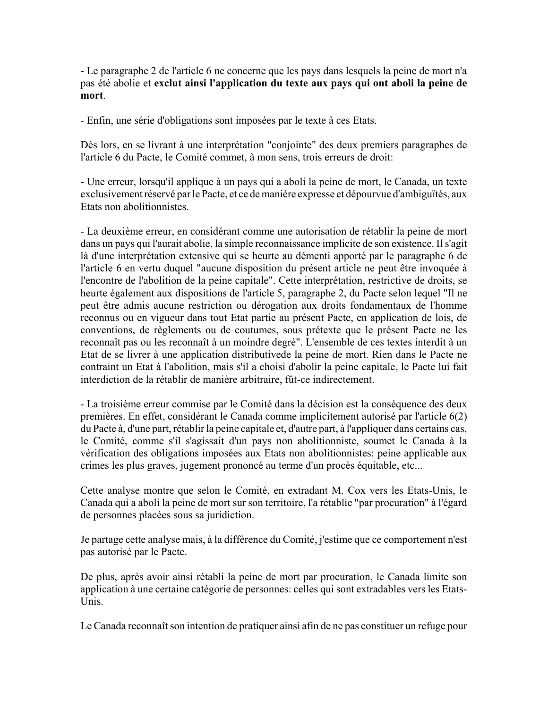- Le paragraphe 2 de l'article 6 ne concerne que les pays dans lesquels la peine de mort n'a pas ÈtÈ abolie et **exclut ainsi l'application du texte aux pays qui ont aboli la peine de mort**.

- Enfin, une série d'obligations sont imposées par le texte à ces Etats.

Dès lors, en se livrant à une interprétation "conjointe" des deux premiers paragraphes de l'article 6 du Pacte, le Comité commet, à mon sens, trois erreurs de droit:

- Une erreur, lorsqu'il applique à un pays qui a aboli la peine de mort, le Canada, un texte exclusivement réservé par le Pacte, et ce de manière expresse et dépourvue d'ambiguïtés, aux Etats non abolitionnistes.

- La deuxième erreur, en considérant comme une autorisation de rétablir la peine de mort dans un pays qui l'aurait abolie, la simple reconnaissance implicite de son existence. Il s'agit là d'une interprétation extensive qui se heurte au démenti apporté par le paragraphe 6 de l'article 6 en vertu duquel "aucune disposition du présent article ne peut être invoquée à l'encontre de l'abolition de la peine capitale". Cette interprétation, restrictive de droits, se heurte également aux dispositions de l'article 5, paragraphe 2, du Pacte selon lequel "Il ne peut être admis aucune restriction ou dérogation aux droits fondamentaux de l'homme reconnus ou en vigueur dans tout Etat partie au présent Pacte, en application de lois, de conventions, de règlements ou de coutumes, sous prétexte que le présent Pacte ne les reconnaît pas ou les reconnaît à un moindre degré". L'ensemble de ces textes interdit à un Etat de se livrer à une application distributivede la peine de mort. Rien dans le Pacte ne contraint un Etat à l'abolition, mais s'il a choisi d'abolir la peine capitale, le Pacte lui fait interdiction de la rétablir de manière arbitraire, fût-ce indirectement.

- La troisième erreur commise par le Comité dans la décision est la conséquence des deux premières. En effet, considérant le Canada comme implicitement autorisé par l'article 6(2) du Pacte à, d'une part, rétablir la peine capitale et, d'autre part, à l'appliquer dans certains cas, le Comité, comme s'il s'agissait d'un pays non abolitionniste, soumet le Canada à la vérification des obligations imposées aux Etats non abolitionnistes: peine applicable aux crimes les plus graves, jugement prononcé au terme d'un procès équitable, etc...

Cette analyse montre que selon le Comité, en extradant M. Cox vers les Etats-Unis, le Canada qui a aboli la peine de mort sur son territoire, l'a rétablie "par procuration" à l'égard de personnes placées sous sa juridiction.

Je partage cette analyse mais, à la différence du Comité, j'estime que ce comportement n'est pas autorisé par le Pacte.

De plus, après avoir ainsi rétabli la peine de mort par procuration, le Canada limite son application à une certaine catégorie de personnes: celles qui sont extradables vers les Etats-Unis.

Le Canada reconnaît son intention de pratiquer ainsi afin de ne pas constituer un refuge pour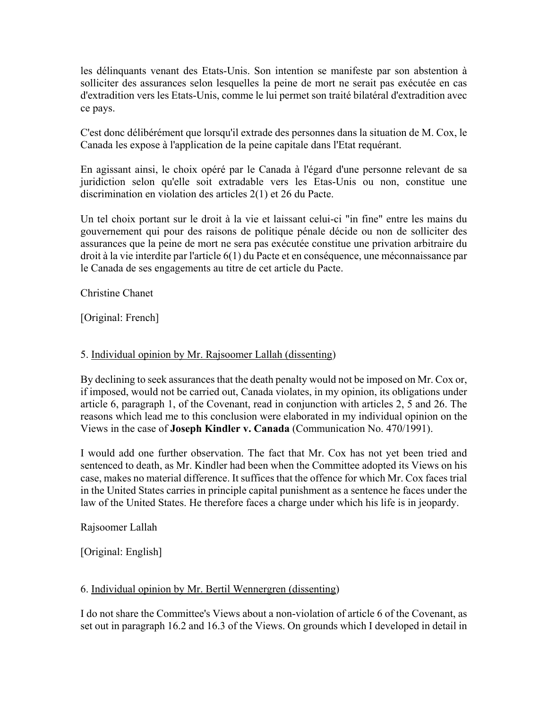les délinquants venant des Etats-Unis. Son intention se manifeste par son abstention à solliciter des assurances selon lesquelles la peine de mort ne serait pas exécutée en cas d'extradition vers les Etats-Unis, comme le lui permet son traité bilatéral d'extradition avec ce pays.

C'est donc délibérément que lorsqu'il extrade des personnes dans la situation de M. Cox, le Canada les expose à l'application de la peine capitale dans l'Etat requérant.

En agissant ainsi, le choix opéré par le Canada à l'égard d'une personne relevant de sa juridiction selon qu'elle soit extradable vers les Etas-Unis ou non, constitue une discrimination en violation des articles 2(1) et 26 du Pacte.

Un tel choix portant sur le droit à la vie et laissant celui-ci "in fine" entre les mains du gouvernement qui pour des raisons de politique pénale décide ou non de solliciter des assurances que la peine de mort ne sera pas exécutée constitue une privation arbitraire du droit à la vie interdite par l'article 6(1) du Pacte et en conséquence, une méconnaissance par le Canada de ses engagements au titre de cet article du Pacte.

Christine Chanet

[Original: French]

### 5. Individual opinion by Mr. Rajsoomer Lallah (dissenting)

By declining to seek assurances that the death penalty would not be imposed on Mr. Cox or, if imposed, would not be carried out, Canada violates, in my opinion, its obligations under article 6, paragraph 1, of the Covenant, read in conjunction with articles 2, 5 and 26. The reasons which lead me to this conclusion were elaborated in my individual opinion on the Views in the case of **Joseph Kindler v. Canada** (Communication No. 470/1991).

I would add one further observation. The fact that Mr. Cox has not yet been tried and sentenced to death, as Mr. Kindler had been when the Committee adopted its Views on his case, makes no material difference. It suffices that the offence for which Mr. Cox faces trial in the United States carries in principle capital punishment as a sentence he faces under the law of the United States. He therefore faces a charge under which his life is in jeopardy.

#### Rajsoomer Lallah

[Original: English]

# 6. Individual opinion by Mr. Bertil Wennergren (dissenting)

I do not share the Committee's Views about a non-violation of article 6 of the Covenant, as set out in paragraph 16.2 and 16.3 of the Views. On grounds which I developed in detail in